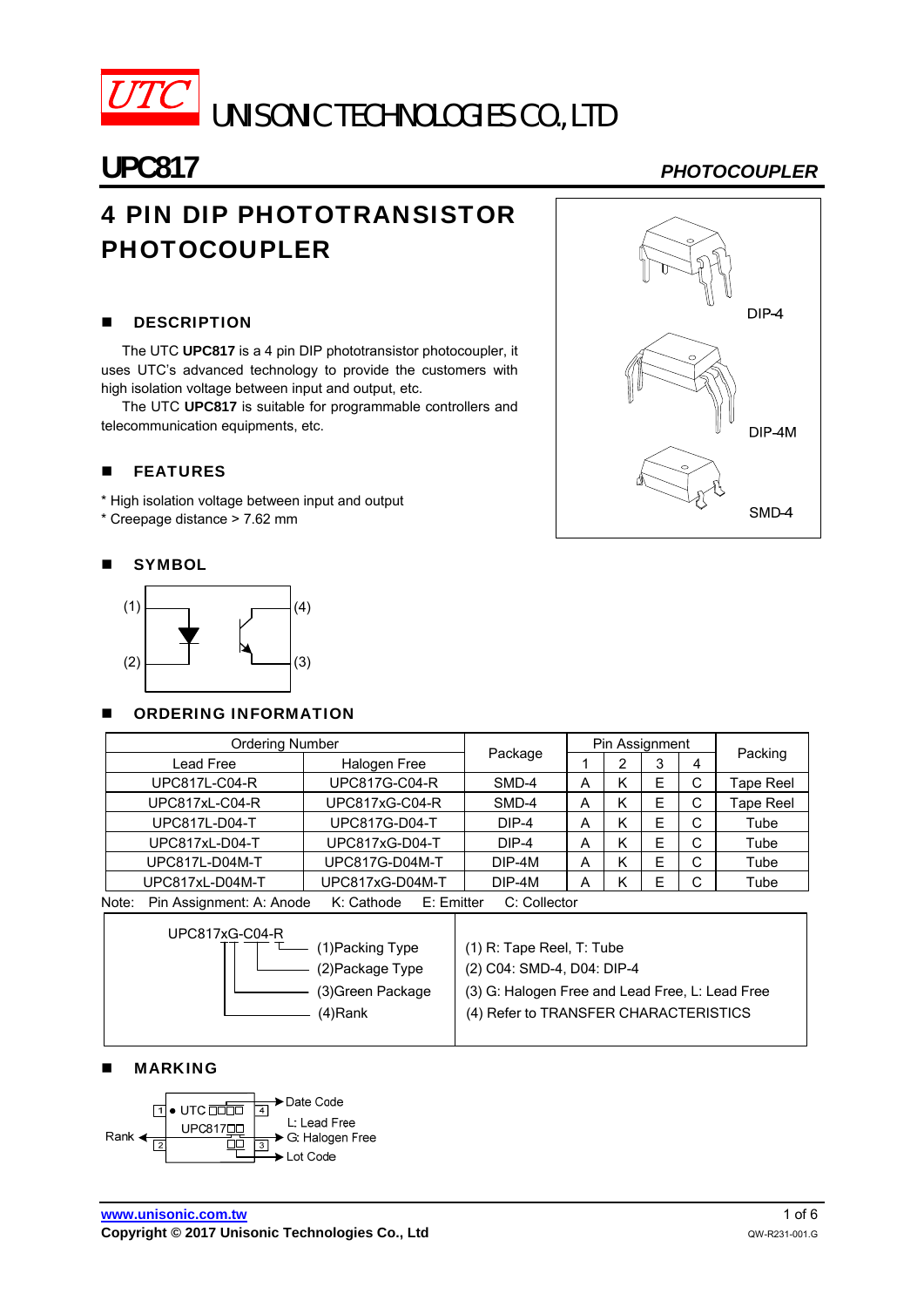

# UNISONIC TECHNOLOGIES CO., LTD

## 4 PIN DIP PHOTOTRANSISTOR PHOTOCOUPLER

### **DESCRIPTION**

The UTC **UPC817** is a 4 pin DIP phototransistor photocoupler, it uses UTC's advanced technology to provide the customers with high isolation voltage between input and output, etc.

The UTC **UPC817** is suitable for programmable controllers and telecommunication equipments, etc.

#### **FEATURES**

\* High isolation voltage between input and output

\* Creepage distance > 7.62 mm

#### **SYMBOL**



#### **DE ORDERING INFORMATION**

| <b>Ordering Number</b> |                                                                                           |                      |          | Pin Assignment |   |   |        |           |  |
|------------------------|-------------------------------------------------------------------------------------------|----------------------|----------|----------------|---|---|--------|-----------|--|
|                        | Lead Free                                                                                 | Halogen Free         | Package  |                | າ | 3 | 4      | Packing   |  |
|                        | <b>UPC817L-C04-R</b>                                                                      | <b>UPC817G-C04-R</b> | SMD-4    | А              | ĸ | E | U      | Tape Reel |  |
| UPC817xL-C04-R         |                                                                                           | UPC817xG-C04-R       | SMD-4    | А              | n | E | U      | Tape Reel |  |
|                        | <b>UPC817L-D04-T</b>                                                                      | <b>UPC817G-D04-T</b> | $DIP-4$  | А              | ĸ | E | U      | Tube      |  |
|                        | UPC817xL-D04-T                                                                            | UPC817xG-D04-T       | $DIP-4$  | А              | Κ | E | ⌒<br>U | Tube      |  |
|                        | UPC817L-D04M-T                                                                            | UPC817G-D04M-T       | $DIP-4M$ | А              | κ | E | С      | Tube      |  |
|                        | UPC817xL-D04M-T                                                                           | UPC817xG-D04M-T      | DIP-4M   | А              |   |   | ⌒<br>U | Tube      |  |
| Note:                  | $D$ in Accianmont: $\Lambda$ : Anodo<br>$C:$ Collector<br>$K \cdot$ Cathoda<br>F: Emittor |                      |          |                |   |   |        |           |  |

Note: Pin Assignment: A: Anode K: Cathode E: Emitter C: Collector  $\mathsf I$ 

| UPC817xG-C04-R |                   |                                                 |
|----------------|-------------------|-------------------------------------------------|
|                | (1)Packing Type   | $(1)$ R: Tape Reel, T: Tube                     |
|                | (2) Package Type  | (2) C04: SMD-4, D04: DIP-4                      |
|                | (3) Green Package | (3) G: Halogen Free and Lead Free, L: Lead Free |
|                | (4)Rank           | (4) Refer to TRANSFER CHARACTERISTICS           |
|                |                   |                                                 |

#### MARKING



## **UPC817** *PHOTOCOUPLER*

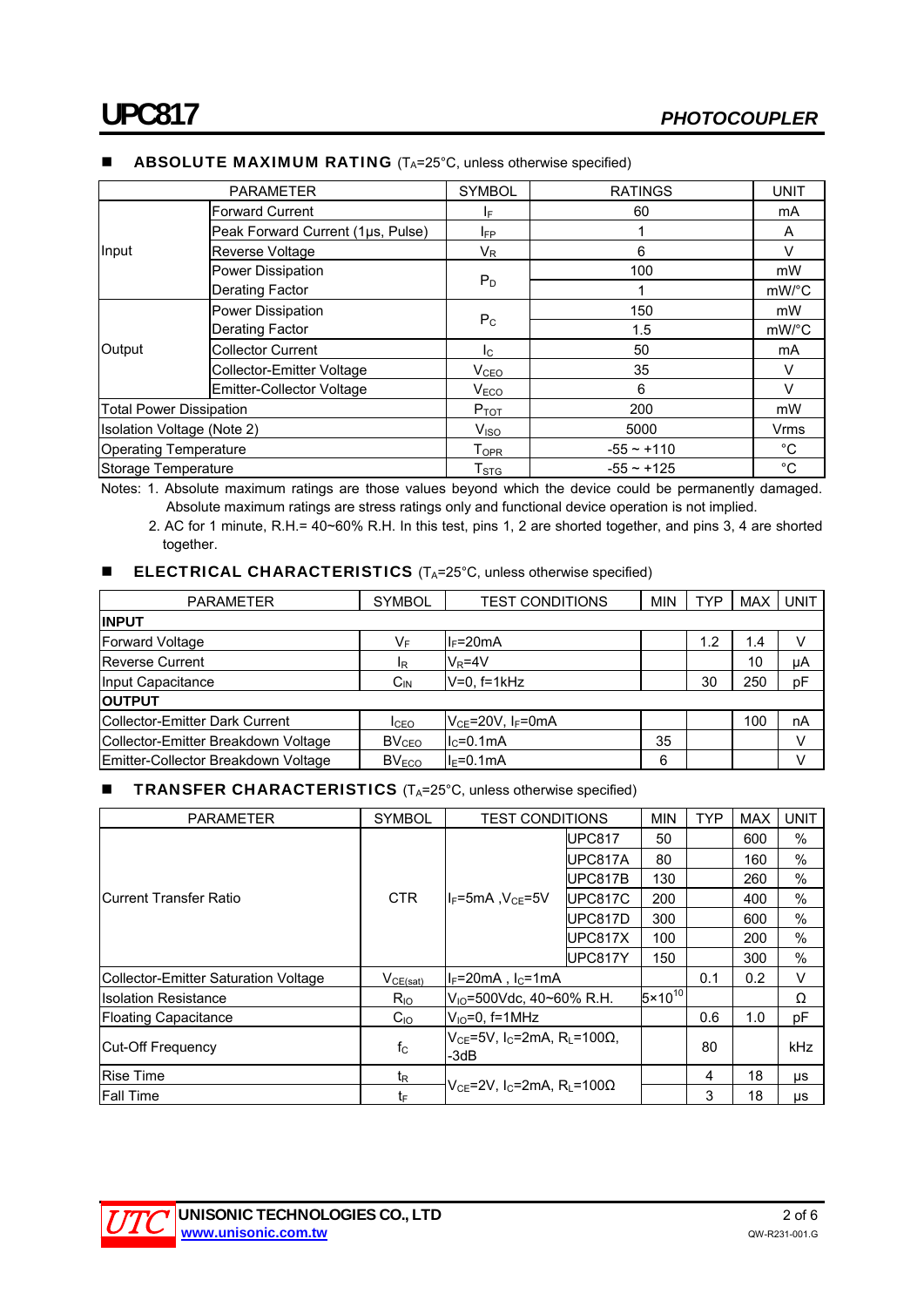| <b>PARAMETER</b>               |                                   | <b>SYMBOL</b>                | <b>RATINGS</b>  | <b>UNIT</b>           |
|--------------------------------|-----------------------------------|------------------------------|-----------------|-----------------------|
|                                | <b>Forward Current</b>            | IF.                          | 60              | mA                    |
|                                | Peak Forward Current (1µs, Pulse) | <b>IFP</b>                   |                 | A                     |
| Input                          | Reverse Voltage                   | V <sub>R</sub>               | 6               | $\vee$                |
|                                | Power Dissipation                 |                              | 100             | mW                    |
|                                | <b>Derating Factor</b>            | $P_D$                        |                 | $mW$ <sup>o</sup> $C$ |
|                                | Power Dissipation                 |                              | 150             | mW                    |
| Output                         | <b>Derating Factor</b>            | $P_{\rm C}$                  | 1.5             | $mW$ <sup>o</sup> $C$ |
|                                | <b>Collector Current</b>          | $I_{\rm C}$                  | 50              | mA                    |
|                                | <b>Collector-Emitter Voltage</b>  | V <sub>CEO</sub>             | 35              | $\vee$                |
|                                | Emitter-Collector Voltage         | V <sub>ECO</sub>             | 6               | V                     |
| <b>Total Power Dissipation</b> |                                   | $P_{TOT}$                    | 200             | mW                    |
| Isolation Voltage (Note 2)     |                                   | V <sub>ISO</sub>             | 5000            | Vrms                  |
| <b>Operating Temperature</b>   |                                   | ${\mathsf T}_{\mathsf{OPR}}$ | $-55 - +110$    | $^{\circ}$ C          |
| Storage Temperature            |                                   | $\mathsf{T}_{\text{STG}}$    | $-55 \sim +125$ | $^{\circ}C$           |

#### **ABSOLUTE MAXIMUM RATING**  $(T_A=25^\circ\text{C},$  unless otherwise specified)

Notes: 1. Absolute maximum ratings are those values beyond which the device could be permanently damaged.

Absolute maximum ratings are stress ratings only and functional device operation is not implied.

2. AC for 1 minute, R.H.= 40~60% R.H. In this test, pins 1, 2 are shorted together, and pins 3, 4 are shorted together.

#### **ELECTRICAL CHARACTERISTICS**  $(T_A=25^\circ C,$  unless otherwise specified)

| <b>PARAMETER</b>                    | <b>SYMBOL</b>     | <b>TEST CONDITIONS</b>             | <b>MIN</b> | TYP | <b>MAX</b> | <b>UNIT</b> |  |  |
|-------------------------------------|-------------------|------------------------------------|------------|-----|------------|-------------|--|--|
| <b>INPUT</b>                        |                   |                                    |            |     |            |             |  |  |
| <b>Forward Voltage</b>              | VF                | $I_F = 20mA$                       |            | 1.2 | 1.4        |             |  |  |
| <b>Reverse Current</b>              | l <sub>R</sub>    | $V_R = 4V$                         |            |     | 10         | μA          |  |  |
| Input Capacitance                   | $C_{IN}$          | $V=0.$ f=1 $kHz$                   |            | 30  | 250        | pF          |  |  |
| <b>OUTPUT</b>                       |                   |                                    |            |     |            |             |  |  |
| Collector-Emitter Dark Current      | I <sub>CEO</sub>  | $V_{CE}$ =20V, I <sub>F</sub> =0mA |            |     | 100        | nA          |  |  |
| Collector-Emitter Breakdown Voltage | BV <sub>CEO</sub> | $IC=0.1mA$                         | 35         |     |            |             |  |  |
| Emitter-Collector Breakdown Voltage | $BV_{ECO}$        | 6<br>$I_F=0.1mA$                   |            |     |            |             |  |  |

#### **TRANSFER CHARACTERISTICS**  $(T_A=25^{\circ}C,$  unless otherwise specified)

| PARAMETER                            | <b>SYMBOL</b>  | <b>TEST CONDITIONS</b>                                                    |                | <b>MIN</b>         | <b>TYP</b> | <b>MAX</b> | <b>UNIT</b> |
|--------------------------------------|----------------|---------------------------------------------------------------------------|----------------|--------------------|------------|------------|-------------|
|                                      |                |                                                                           | UPC817         | 50                 |            | 600        | $\%$        |
|                                      |                |                                                                           | UPC817A        | 80                 |            | 160        | $\%$        |
|                                      |                |                                                                           | UPC817B        | 130                |            | 260        | $\%$        |
| lCurrent Transfer Ratio              | CTR.           | $I_F$ =5mA, $V_{CE}$ =5V                                                  | UPC817C        | 200                |            | 400        | $\%$        |
|                                      |                |                                                                           | UPC817D<br>300 |                    | 600        | $\%$       |             |
|                                      |                | UPC817X<br>UPC817Y                                                        | 100            |                    | 200        | $\%$       |             |
|                                      |                |                                                                           |                | 150                |            | 300        | $\%$        |
| Collector-Emitter Saturation Voltage | VCE(sat)       | $I_F = 20mA$ , $I_C = 1mA$                                                |                |                    | 0.1        | 0.2        | V           |
| <b>Isolation Resistance</b>          | $R_{IO}$       | $V_{10}$ =500Vdc, 40~60% R.H.                                             |                | $5 \times 10^{10}$ |            |            | Ω           |
| <b>Floating Capacitance</b>          | $C_{10}$       | $V_{10} = 0$ , f=1MHz                                                     |                |                    | 0.6        | 1.0        | pF          |
| Cut-Off Frequency                    | $f_{\rm C}$    | $V_{CE}$ =5V, I <sub>C</sub> =2mA, R <sub>L</sub> =100 $\Omega$ ,<br>-3dB |                |                    | 80         |            | kHz         |
| <b>Rise Time</b>                     | t <sub>R</sub> |                                                                           |                |                    | 4          | 18         | μs          |
| <b>Fall Time</b>                     | tF             | $V_{CF}$ =2V. I $c$ =2mA. Ri =100 $\Omega$                                |                | 3                  | 18         | μs         |             |

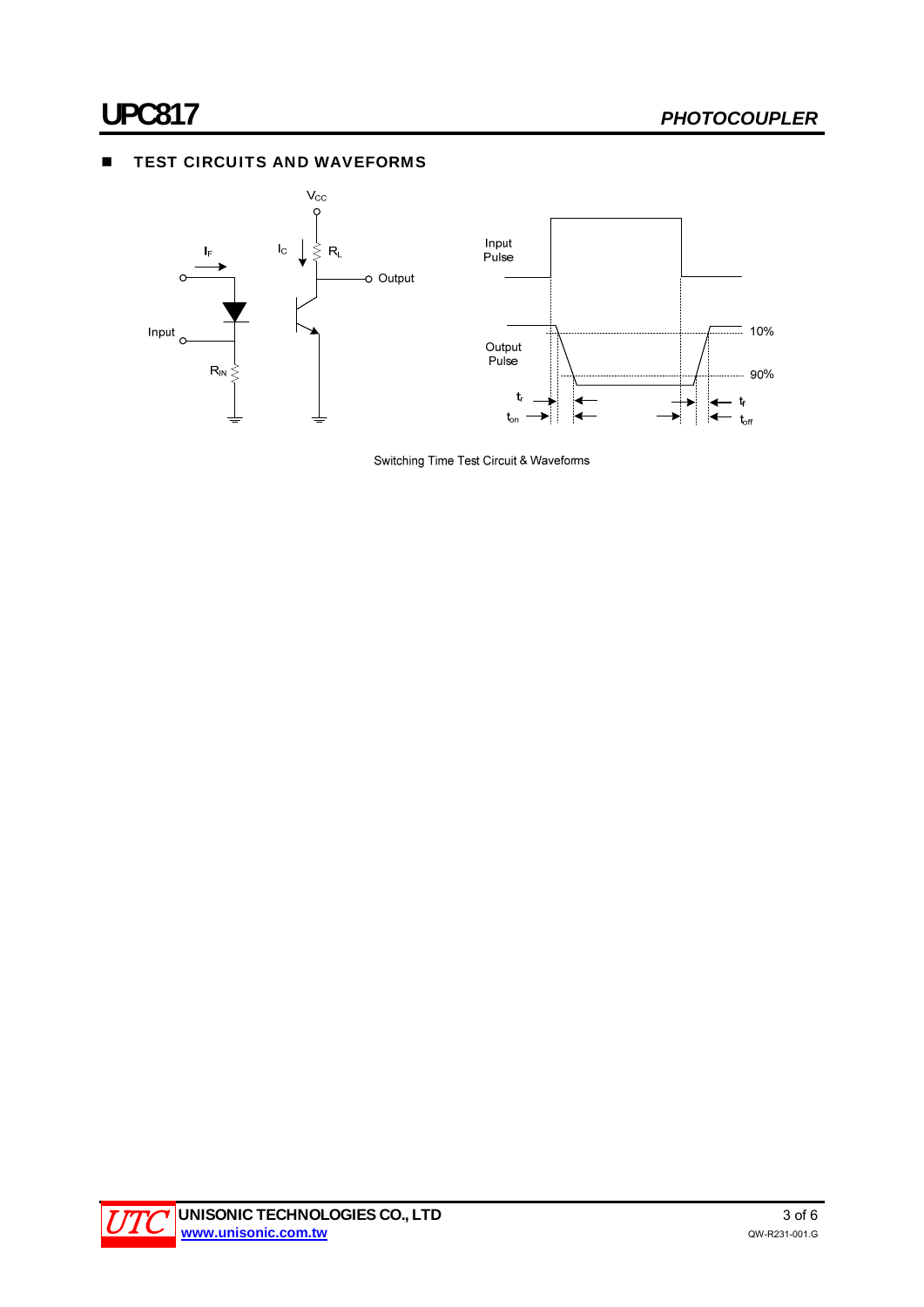### **TEST CIRCUITS AND WAVEFORMS**



Switching Time Test Circuit & Waveforms

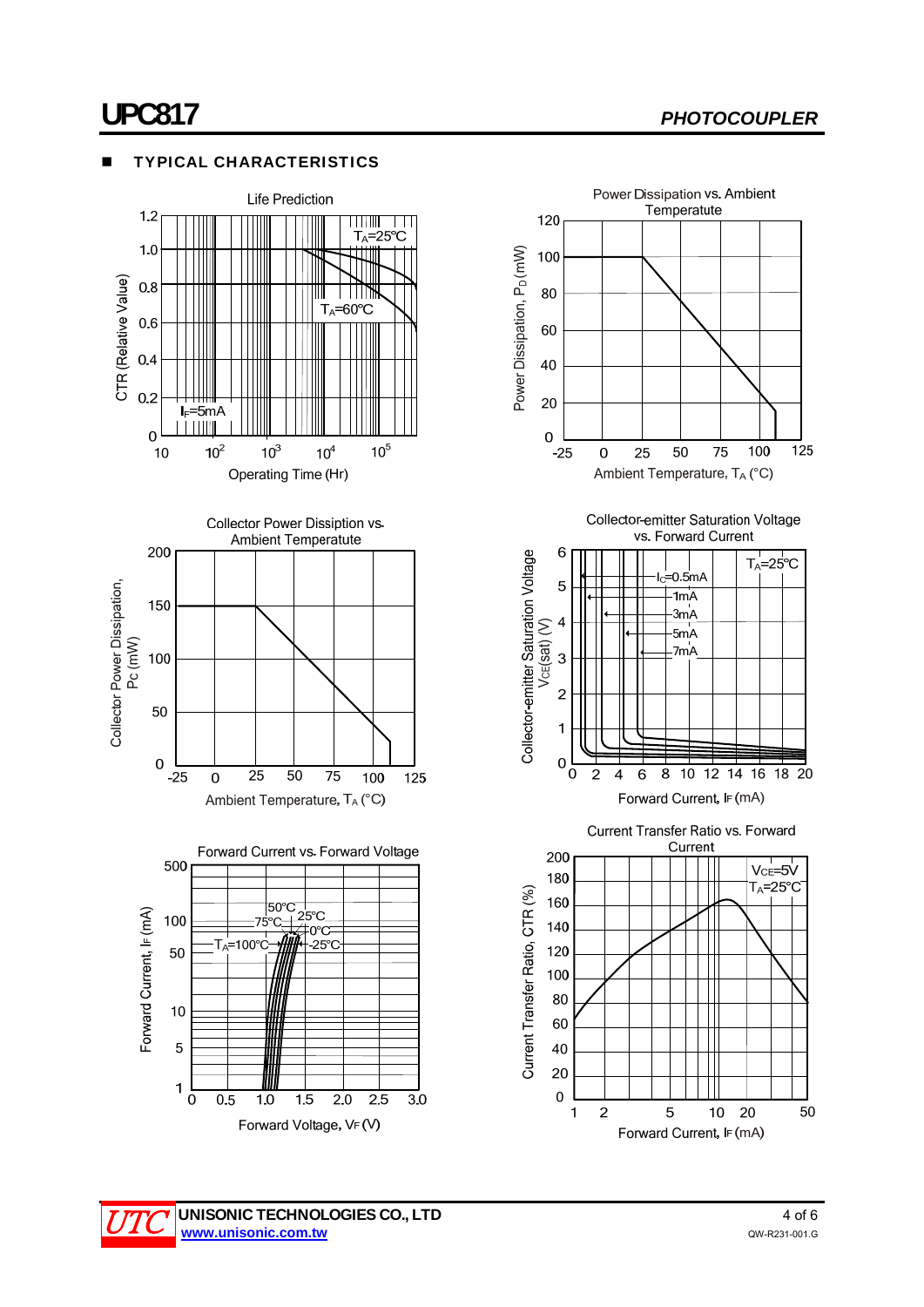### **UPC817** *PHOTOCOUPLER*

#### TYPICAL CHARACTERISTICS





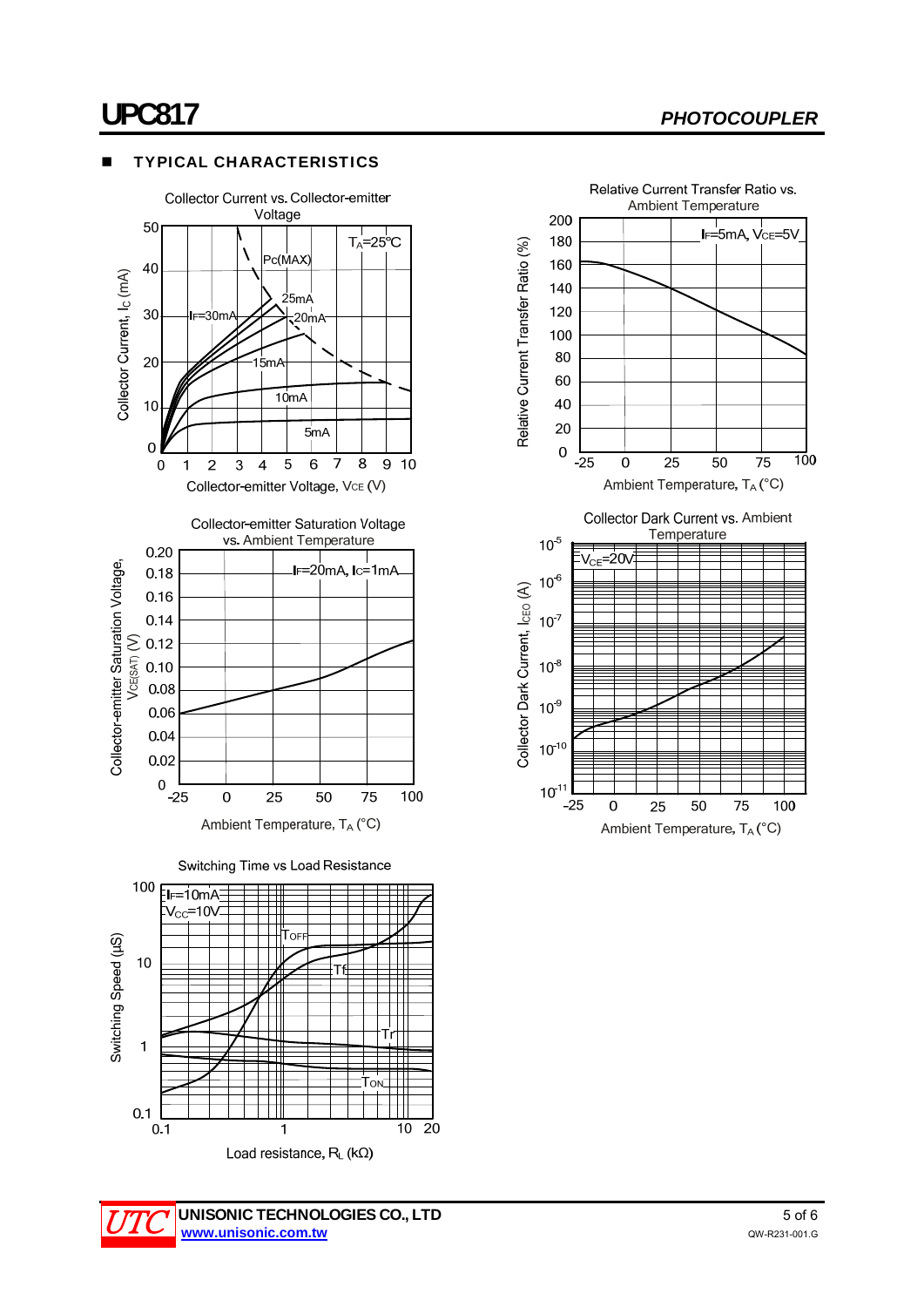### **UPC817** *PHOTOCOUPLER*

#### TYPICAL CHARACTERISTICS





 $\overline{1}$ 

Load resistance,  $R_L$  (k $\Omega$ )

 $\overline{10}$  $\overline{20}$ 

 $0.1$